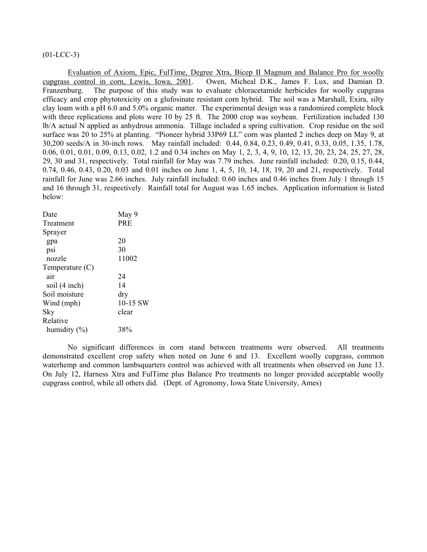# $(01-LCC-3)$

Evaluation of Axiom, Epic, FulTime, Degree Xtra, Bicep II Magnum and Balance Pro for woolly cupgrass control in corn, Lewis, Iowa, 2001. Owen, Micheal D.K., James F. Lux, and Damian D. Franzenburg. The purpose of this study was to evaluate chloracetamide herbicides for woolly cupgrass efficacy and crop phytotoxicity on a glufosinate resistant corn hybrid. The soil was a Marshall, Exira, silty clay loam with a pH 6.0 and 5.0% organic matter. The experimental design was a randomized complete block with three replications and plots were 10 by 25 ft. The 2000 crop was soybean. Fertilization included 130 lb/A actual N applied as anhydrous ammonia. Tillage included a spring cultivation. Crop residue on the soil surface was 20 to 25% at planting. "Pioneer hybrid 33P69 LL" corn was planted 2 inches deep on May 9, at 30,200 seeds/A in 30-inch rows. May rainfall included: 0.44, 0.84, 0.23, 0.49, 0.41, 0.33, 0.05, 1.35, 1.78, 0.06, 0.01, 0.01, 0.09, 0.13, 0.02, 1.2 and 0.34 inches on May 1, 2, 3, 4, 9, 10, 12, 13, 20, 23, 24, 25, 27, 28, 29, 30 and 31, respectively. Total rainfall for May was 7.79 inches. June rainfall included: 0.20, 0.15, 0.44, 0.74, 0.46, 0.43, 0.20, 0.03 and 0.01 inches on June 1, 4, 5, 10, 14, 18, 19, 20 and 21, respectively. Total rainfall for June was 2.66 inches. July rainfall included: 0.60 inches and 0.46 inches from July 1 through 15 and 16 through 31, respectively. Rainfall total for August was 1.65 inches. Application information is listed below:

| Date              | May 9      |
|-------------------|------------|
| Treatment         | <b>PRE</b> |
| Sprayer           |            |
| gpa               | 20         |
| psi               | 30         |
| nozzle            | 11002      |
| Temperature $(C)$ |            |
| air               | 24         |
| soil (4 inch)     | 14         |
| Soil moisture     | dry        |
| Wind (mph)        | 10-15 SW   |
| Sky               | clear      |
| Relative          |            |
| humidity $(\% )$  | 38%        |
|                   |            |

 No significant differences in corn stand between treatments were observed. All treatments demonstrated excellent crop safety when noted on June 6 and 13. Excellent woolly cupgrass, common waterhemp and common lambsquarters control was achieved with all treatments when observed on June 13. On July 12, Harness Xtra and FulTime plus Balance Pro treatments no longer provided acceptable woolly cupgrass control, while all others did. (Dept. of Agronomy, Iowa State University, Ames)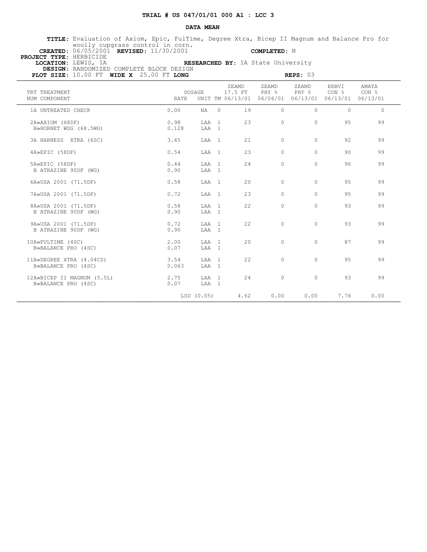# **TRIAL # US 047/01/01 000 A1 : LCC 3**

### **DATA MEAN**

 **TITLE:** Evaluation of Axiom, Epic, FulTime, Degree Xtra, Bicep II Magnum and Balance Pro for woolly cupgrass control in corn.

 **CREATED:** 06/05/2001 **REVISED:** 11/30/2001 **COMPLETED:** N  **PROJECT TYPE:** HERBICIDE

 **LOCATION:** LEWIS, IA **RESEARCHED BY:** IA State University  **DESIGN:** RANDOMIZED COMPLETE BLOCK DESIGN

| PLOT SIZE: 10.00 FT WIDE X 25.00 FT LONG          |               |                |          |                  |                                                      | REPS: 03       |                                                |                           |
|---------------------------------------------------|---------------|----------------|----------|------------------|------------------------------------------------------|----------------|------------------------------------------------|---------------------------|
| TRT TREATMENT<br>NUM COMPONENT                    | <b>RATE</b>   | DOSAGE         |          | ZEAMD<br>17.5 FT | ZEAMD<br>PHY %<br>UNIT TM 06/13/01 06/06/01 06/13/01 | ZEAMD<br>PHY 응 | ERBVI<br>CON <sub>8</sub><br>06/13/01 06/13/01 | AMATA<br>CON <sub>8</sub> |
| 1A UNTREATED CHECK                                | 0.00          | NA 1           | $\Omega$ | 19               | $\Omega$                                             | $\Omega$       | $\Omega$                                       | $\Omega$                  |
| 2A»AXIOM (68DF)<br>B»HORNET WDG (68.5WG)          | 0.98<br>0.128 | LAA 1<br>LAA 1 |          | 23               | $\Omega$                                             | $\Omega$       | 95                                             | 99                        |
| 3A HARNESS XTRA (6SC)                             | 3.45          | LAA 1          |          | 21               | $\Omega$                                             | $\Omega$       | 92                                             | 99                        |
| 4A»EPIC (58DF)                                    | 0.54          | LAA 1          |          | 23               | $\Omega$                                             | $\Omega$       | 90                                             | 99                        |
| 5A»EPIC (58DF)<br>B ATRAZINE 90DF (WG)            | 0.44<br>0.90  | LAA 1<br>LAA 1 |          | 24               | $\Omega$                                             | $\Omega$       | 96                                             | 99                        |
| 6A»USA 2001 (71.5DF)                              | 0.58          | LAA 1          |          | 20               | $\Omega$                                             | $\Omega$       | 95                                             | 99                        |
| 7A»USA 2001 (71.5DF)                              | 0.72          | LAA 1          |          | 2.3              | $\Omega$                                             | $\Omega$       | 95                                             | 99                        |
| 8A»USA 2001 (71.5DF)<br>B ATRAZINE 90DF (WG)      | 0.58<br>0.90  | LAA 1<br>LAA 1 |          | 22               | $\circ$                                              | 0              | 93                                             | 99                        |
| 9A»USA 2001 (71.5DF)<br>B ATRAZINE 90DF (WG)      | 0.72<br>0.90  | LAA 1<br>LAA 1 |          | 22               | $\circ$                                              | $\Omega$       | 93                                             | 99                        |
| 10A»FULTIME (4SC)<br>B»BALANCE PRO (4SC)          | 2.00<br>0.07  | LAA 1<br>LAA 1 |          | 20               | $\Omega$                                             | $\Omega$       | 87                                             | 99                        |
| 11A»DEGREE XTRA (4.04CS)<br>B»BALANCE PRO (4SC)   | 3.54<br>0.063 | LAA 1<br>LAA 1 |          | 22               | $\Omega$                                             | $\Omega$       | 95                                             | 99                        |
| 12A»BICEP II MAGNUM (5.5L)<br>B»BALANCE PRO (4SC) | 2.75<br>0.07  | LAA 1<br>LAA 1 |          | 2.4              | $\Omega$                                             | $\Omega$       | 93                                             | 99                        |
|                                                   |               | LSD (0.05)     |          | 4.62             | 0.00                                                 | 0.00           | 7.76                                           | 0.00                      |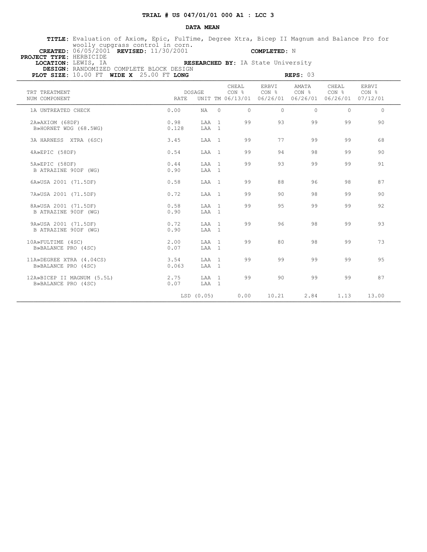## **TRIAL # US 047/01/01 000 A1 : LCC 3**

#### **DATA MEAN**

 **TITLE:** Evaluation of Axiom, Epic, FulTime, Degree Xtra, Bicep II Magnum and Balance Pro for woolly cupgrass control in corn.

 **CREATED:** 06/05/2001 **REVISED:** 11/30/2001 **COMPLETED:** N  **PROJECT TYPE:** HERBICIDE

B ATRAZINE 90DF (WG)

B»BALANCE PRO (4SC)

B»BALANCE PRO (4SC)

B»BALANCE PRO (4SC)

**RESEARCHED BY:** IA State University  **DESIGN:** RANDOMIZED COMPLETE BLOCK DESIGN

 **PLOT SIZE:** 10.00 FT **WIDE X** 25.00 FT **LONG REPS:** 03 **REPS:** 03 **@HEAL REPS:** 03 **@HEAL REPS:** 03 CHEAL ERBVI AMATA CHEAL ERBVI TRT TREATMENT **CONFIDENT** DOSAGE NUM COMPONENT RATE UNIT TM 06/13/01 06/26/01 06/26/01 06/26/01 07/12/01 1A UNTREATED CHECK 0.00 NA 0 0 0 0 0 0 2A»AXIOM (68DF) 0.98 LAA 1 99 93 99 99 90 B»HORNET WDG (68.5WG) 3A HARNESS XTRA (6SC) 3.45 LAA 1 99 77 99 99 68 4A»EPIC (58DF) 0.54 LAA 1 99 94 98 99 90 5A»EPIC (58DF) 0.44 LAA 1 99 93 99 99 91 B ATRAZINE 90DF (WG) 6A»USA 2001 (71.5DF) 0.58 LAA 1 99 88 96 98 87 7A»USA 2001 (71.5DF) 0.72 LAA 1 99 90 98 99 90 8A»USA 2001 (71.5DF) 0.58 LAA 1 99 95 99 99 92 B ATRAZINE 90DF (WG)

9A»USA 2001 (71.5DF) 0.72 LAA 1 99 96 98 99 93

10A»FULTIME (4SC) 2.00 LAA 1 99 80 98 99 73

11A»DEGREE XTRA (4.04CS) 3.54 LAA 1 99 99 99 99 95

12A»BICEP II MAGNUM (5.5L) 2.75 LAA 1 99 90 99 99 87

LSD (0.05) 0.00 10.21 2.84 1.13 13.00